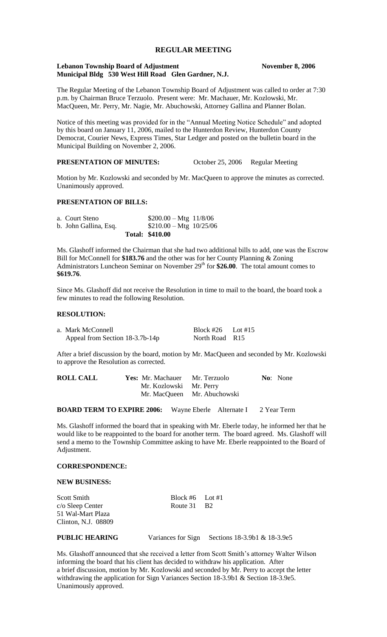# **REGULAR MEETING**

### **Lebanon Township Board of Adjustment November 8, 2006 Municipal Bldg 530 West Hill Road Glen Gardner, N.J.**

The Regular Meeting of the Lebanon Township Board of Adjustment was called to order at 7:30 p.m. by Chairman Bruce Terzuolo. Present were: Mr. Machauer, Mr. Kozlowski, Mr. MacQueen, Mr. Perry, Mr. Nagie, Mr. Abuchowski, Attorney Gallina and Planner Bolan.

Notice of this meeting was provided for in the "Annual Meeting Notice Schedule" and adopted by this board on January 11, 2006, mailed to the Hunterdon Review, Hunterdon County Democrat, Courier News, Express Times, Star Ledger and posted on the bulletin board in the Municipal Building on November 2, 2006.

#### **PRESENTATION OF MINUTES:** October 25, 2006 Regular Meeting

Motion by Mr. Kozlowski and seconded by Mr. MacQueen to approve the minutes as corrected. Unanimously approved.

## **PRESENTATION OF BILLS:**

| a. Court Steno        | $$200.00 - Mtg$ 11/8/06  |  |
|-----------------------|--------------------------|--|
| b. John Gallina, Esq. | $$210.00 - Mtg$ 10/25/06 |  |
|                       | <b>Total: \$410.00</b>   |  |

Ms. Glashoff informed the Chairman that she had two additional bills to add, one was the Escrow Bill for McConnell for **\$183.76** and the other was for her County Planning & Zoning Administrators Luncheon Seminar on November 29<sup>th</sup> for \$26.00. The total amount comes to **\$619.76**.

Since Ms. Glashoff did not receive the Resolution in time to mail to the board, the board took a few minutes to read the following Resolution.

## **RESOLUTION:**

| a. Mark McConnell               | Block #26 Lot #15 |  |
|---------------------------------|-------------------|--|
| Appeal from Section 18-3.7b-14p | North Road R15    |  |

After a brief discussion by the board, motion by Mr. MacQueen and seconded by Mr. Kozlowski to approve the Resolution as corrected.

| <b>ROLL CALL</b> | <b>Yes:</b> Mr. Machauer Mr. Terzuolo |                             | <b>No:</b> None |
|------------------|---------------------------------------|-----------------------------|-----------------|
|                  | Mr. Kozlowski Mr. Perry               |                             |                 |
|                  |                                       | Mr. MacQueen Mr. Abuchowski |                 |
|                  |                                       |                             |                 |

**BOARD TERM TO EXPIRE 2006:** Wayne Eberle Alternate I 2 Year Term

Ms. Glashoff informed the board that in speaking with Mr. Eberle today, he informed her that he would like to be reappointed to the board for another term. The board agreed. Ms. Glashoff will send a memo to the Township Committee asking to have Mr. Eberle reappointed to the Board of Adjustment.

# **CORRESPONDENCE:**

#### **NEW BUSINESS:**

| Scott Smith             | Block #6 Lot #1 |  |
|-------------------------|-----------------|--|
| $c/\sigma$ Sleep Center | Route 31 B2     |  |
| 51 Wal-Mart Plaza       |                 |  |
| Clinton, N.J. 08809     |                 |  |
|                         |                 |  |

**PUBLIC HEARING** Variances for Sign Sections 18-3.9b1 & 18-3.9e5

Ms. Glashoff announced that she received a letter from Scott Smith's attorney Walter Wilson informing the board that his client has decided to withdraw his application. After a brief discussion, motion by Mr. Kozlowski and seconded by Mr. Perry to accept the letter withdrawing the application for Sign Variances Section 18-3.9b1 & Section 18-3.9e5. Unanimously approved.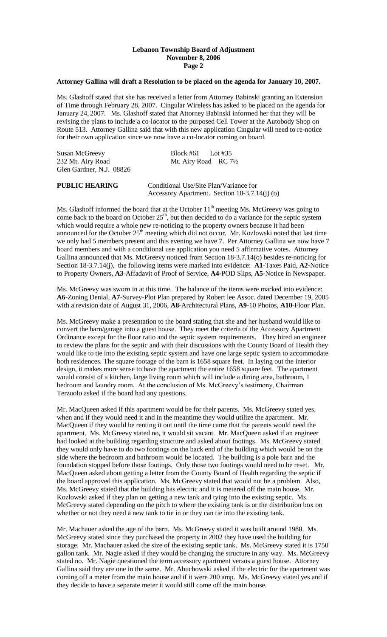# **Lebanon Township Board of Adjustment November 8, 2006 Page 2**

# **Attorney Gallina will draft a Resolution to be placed on the agenda for January 10, 2007.**

Ms. Glashoff stated that she has received a letter from Attorney Babinski granting an Extension of Time through February 28, 2007. Cingular Wireless has asked to be placed on the agenda for January 24, 2007. Ms. Glashoff stated that Attorney Babinski informed her that they will be revising the plans to include a co-locator to the purposed Cell Tower at the Autobody Shop on Route 513. Attorney Gallina said that with this new application Cingular will need to re-notice for their own application since we now have a co-locator coming on board.

Susan McGreevy Block #61 Lot #35 232 Mt. Airy Road Mt. Airy Road RC 71/2 Glen Gardner, N.J. 08826

**PUBLIC HEARING** Conditional Use/Site Plan/Variance for Accessory Apartment. Section 18-3.7.14(j) (o)

Ms. Glashoff informed the board that at the October  $11<sup>th</sup>$  meeting Ms. McGreevy was going to come back to the board on October  $25<sup>th</sup>$ , but then decided to do a variance for the septic system which would require a whole new re-noticing to the property owners because it had been announced for the October  $25<sup>th</sup>$  meeting which did not occur. Mr. Kozlowski noted that last time we only had 5 members present and this evening we have 7. Per Attorney Gallina we now have 7 board members and with a conditional use application you need 5 affirmative votes. Attorney Gallina announced that Ms. McGreevy noticed from Section 18-3.7.14(o) besides re-noticing for Section 18-3.7.14(j), the following items were marked into evidence: **A1**-Taxes Paid, **A2-**Notice to Property Owners, **A3**-Affadavit of Proof of Service, **A4-**POD Slips, **A5**-Notice in Newspaper.

Ms. McGreevy was sworn in at this time. The balance of the items were marked into evidence: **A6**-Zoning Denial, **A7**-Survey-Plot Plan prepared by Robert lee Assoc. dated December 19, 2005 with a revision date of August 31, 2006, **A8**-Architectural Plans, **A9**-10 Photos, **A10**-Floor Plan.

Ms. McGreevy make a presentation to the board stating that she and her husband would like to convert the barn/garage into a guest house. They meet the criteria of the Accessory Apartment Ordinance except for the floor ratio and the septic system requirements. They hired an engineer to review the plans for the septic and with their discussions with the County Board of Health they would like to tie into the existing septic system and have one large septic system to accommodate both residences. The square footage of the barn is 1658 square feet. In laying out the interior design, it makes more sense to have the apartment the entire 1658 square feet. The apartment would consist of a kitchen, large living room which will include a dining area, bathroom, 1 bedroom and laundry room. At the conclusion of Ms. McGreevy's testimony, Chairman Terzuolo asked if the board had any questions.

Mr. MacQueen asked if this apartment would be for their parents. Ms. McGreevy stated yes, when and if they would need it and in the meantime they would utilize the apartment. Mr. MacQueen if they would be renting it out until the time came that the parents would need the apartment. Ms. McGreevy stated no, it would sit vacant. Mr. MacQueen asked if an engineer had looked at the building regarding structure and asked about footings. Ms. McGreevy stated they would only have to do two footings on the back end of the building which would be on the side where the bedroom and bathroom would be located. The building is a pole barn and the foundation stopped before those footings. Only those two footings would need to be reset. Mr. MacQueen asked about getting a letter from the County Board of Health regarding the septic if the board approved this application. Ms. McGreevy stated that would not be a problem. Also, Ms. McGreevy stated that the building has electric and it is metered off the main house. Mr. Kozlowski asked if they plan on getting a new tank and tying into the existing septic. Ms. McGreevy stated depending on the pitch to where the existing tank is or the distribution box on whether or not they need a new tank to tie in or they can tie into the existing tank.

Mr. Machauer asked the age of the barn. Ms. McGreevy stated it was built around 1980. Ms. McGreevy stated since they purchased the property in 2002 they have used the building for storage. Mr. Machauer asked the size of the existing septic tank. Ms. McGreevy stated it is 1750 gallon tank. Mr. Nagie asked if they would be changing the structure in any way. Ms. McGreevy stated no. Mr. Nagie questioned the term accessory apartment versus a guest house. Attorney Gallina said they are one in the same. Mr. Abuchowski asked if the electric for the apartment was coming off a meter from the main house and if it were 200 amp. Ms. McGreevy stated yes and if they decide to have a separate meter it would still come off the main house.